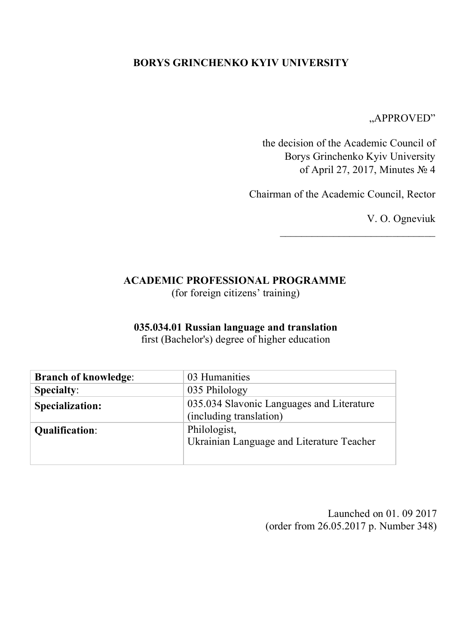## **BORYS GRINCHENKO KYIV UNIVERSITY**

"APPROVED"

the decision of the Academic Council of Borys Grinchenko Kyiv University of April 27, 2017, Minutes № 4

Chairman of the Academic Council, Rector

 $\overline{\phantom{a}}$  , where  $\overline{\phantom{a}}$  , where  $\overline{\phantom{a}}$  ,  $\overline{\phantom{a}}$  ,  $\overline{\phantom{a}}$  ,  $\overline{\phantom{a}}$  ,  $\overline{\phantom{a}}$  ,  $\overline{\phantom{a}}$  ,  $\overline{\phantom{a}}$  ,  $\overline{\phantom{a}}$  ,  $\overline{\phantom{a}}$  ,  $\overline{\phantom{a}}$  ,  $\overline{\phantom{a}}$  ,  $\overline{\phantom{a}}$  ,  $\overline{\phantom{a}}$  ,

V. O. Ogneviuk

## **ACADEMIC PROFESSIONAL PROGRAMME**

(for foreign citizens' training)

#### **035.034.01 Russian language and translation**

first (Bachelor's) degree of higher education

| <b>Branch of knowledge:</b> | 03 Humanities                                                        |
|-----------------------------|----------------------------------------------------------------------|
| <b>Specialty:</b>           | 035 Philology                                                        |
| <b>Specialization:</b>      | 035.034 Slavonic Languages and Literature<br>(including translation) |
| <b>Qualification:</b>       | Philologist,<br>Ukrainian Language and Literature Teacher            |

Launched on 01. 09 2017 (order from 26.05.2017 p. Number 348)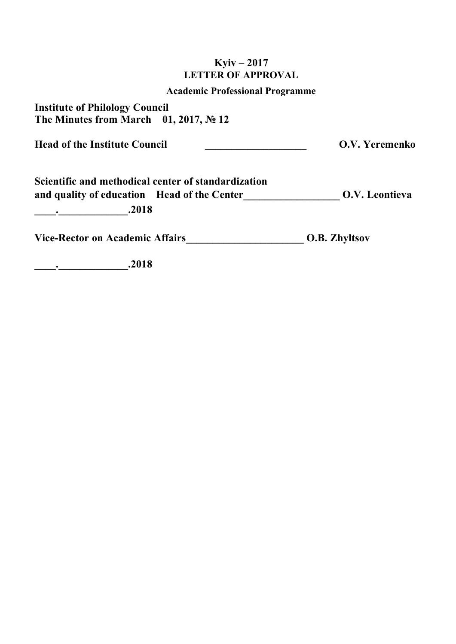## **Kyiv – 2017 LETTER OF APPROVAL**

#### **Academic Professional Programme**

**Institute of Philology Council The Minutes from March 01, 2017, № 12**

Head of the Institute Council **Council Council O.V. Yeremenko** 

**Scientific and methodical center of standardization and quality of education Head of the Center\_\_\_\_\_\_\_\_\_\_\_\_\_\_\_\_\_\_ О.V. Leontieva \_\_\_\_.\_\_\_\_\_\_\_\_\_\_\_\_\_.2018**

Vice-Rector on Academic Affairs **O.B. Zhyltsov** 

**\_\_\_\_.\_\_\_\_\_\_\_\_\_\_\_\_\_.2018**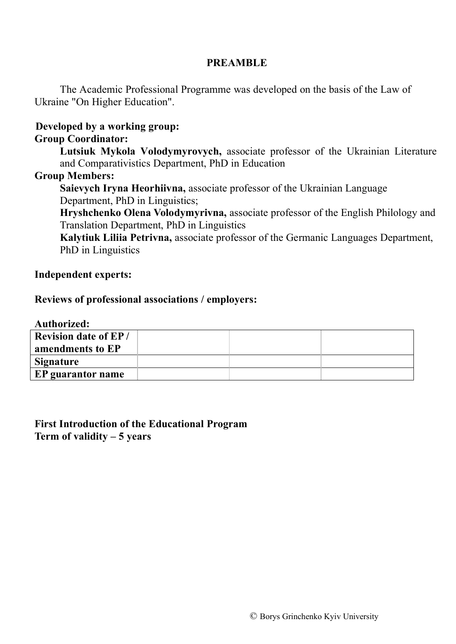## **PREAMBLE**

The Academic Professional Programme was developed on the basis of the Law of Ukraine "On Higher Education".

## **Developed by a working group:**

## **Group Coordinator:**

**Lutsiuk Mykola Volodymyrovych,** associate professor of the Ukrainian Literature and Comparativistics Department, PhD in Education

#### **Group Members:**

**Saievych Iryna Heorhiivna,** associate professor of the Ukrainian Language Department, PhD in Linguistics;

**Hryshchenko Olena Volodymyrivna,** associate professor of the English Philology and Translation Department, PhD in Linguistics

**Kalytiuk Liliia Petrivna,** associate professor of the Germanic Languages Department, PhD in Linguistics

#### **Independent experts:**

#### **Reviews of professional associations / employers:**

**Authorized:**

| <b>Revision date of EP/</b> |  |  |
|-----------------------------|--|--|
| amendments to EP            |  |  |
| Signature                   |  |  |
| EP guarantor name           |  |  |
|                             |  |  |

**First Introduction of the Educational Program Term of validity – 5 years**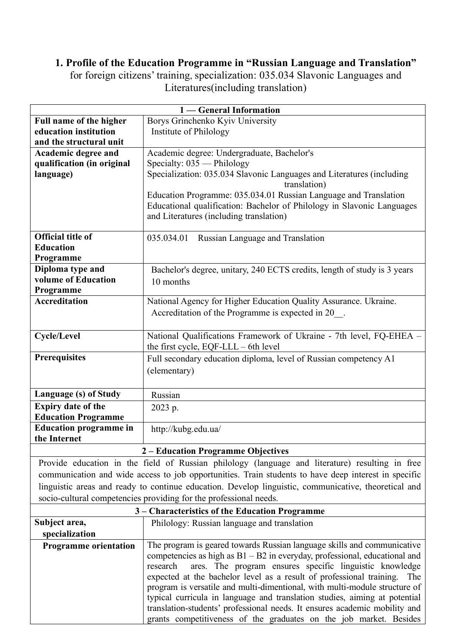# **1. Profile of the Education Programme in "Russian Language and Translation"**

for foreign citizens' training, specialization: 035.034 Slavonic Languages and Literatures(including translation)

| 1 — General Information                                                                              |                                                                                                                   |  |  |  |
|------------------------------------------------------------------------------------------------------|-------------------------------------------------------------------------------------------------------------------|--|--|--|
| Full name of the higher                                                                              | Borys Grinchenko Kyiv University                                                                                  |  |  |  |
| education institution                                                                                | Institute of Philology                                                                                            |  |  |  |
| and the structural unit                                                                              |                                                                                                                   |  |  |  |
| Academic degree and                                                                                  | Academic degree: Undergraduate, Bachelor's                                                                        |  |  |  |
| qualification (in original                                                                           | Specialty: $035$ — Philology                                                                                      |  |  |  |
| language)                                                                                            | Specialization: 035.034 Slavonic Languages and Literatures (including<br>translation)                             |  |  |  |
|                                                                                                      | Education Programme: 035.034.01 Russian Language and Translation                                                  |  |  |  |
|                                                                                                      | Educational qualification: Bachelor of Philology in Slavonic Languages<br>and Literatures (including translation) |  |  |  |
| <b>Official title of</b>                                                                             | 035.034.01 Russian Language and Translation                                                                       |  |  |  |
| <b>Education</b>                                                                                     |                                                                                                                   |  |  |  |
| Programme                                                                                            |                                                                                                                   |  |  |  |
| Diploma type and                                                                                     | Bachelor's degree, unitary, 240 ECTS credits, length of study is 3 years                                          |  |  |  |
| volume of Education                                                                                  | 10 months                                                                                                         |  |  |  |
| Programme                                                                                            |                                                                                                                   |  |  |  |
| <b>Accreditation</b>                                                                                 | National Agency for Higher Education Quality Assurance. Ukraine.                                                  |  |  |  |
|                                                                                                      | Accreditation of the Programme is expected in 20_.                                                                |  |  |  |
| <b>Cycle/Level</b>                                                                                   | National Qualifications Framework of Ukraine - 7th level, FQ-EHEA -                                               |  |  |  |
|                                                                                                      | the first cycle, $EQF-LLL - 6th$ level                                                                            |  |  |  |
| Prerequisites                                                                                        | Full secondary education diploma, level of Russian competency A1                                                  |  |  |  |
|                                                                                                      | (elementary)                                                                                                      |  |  |  |
|                                                                                                      |                                                                                                                   |  |  |  |
| Language (s) of Study                                                                                | Russian                                                                                                           |  |  |  |
| <b>Expiry date of the</b>                                                                            | 2023 p.                                                                                                           |  |  |  |
| <b>Education Programme</b>                                                                           |                                                                                                                   |  |  |  |
| <b>Education programme in</b>                                                                        | http://kubg.edu.ua/                                                                                               |  |  |  |
| the Internet                                                                                         |                                                                                                                   |  |  |  |
|                                                                                                      | 2 – Education Programme Objectives                                                                                |  |  |  |
|                                                                                                      | Provide education in the field of Russian philology (language and literature) resulting in free                   |  |  |  |
|                                                                                                      | communication and wide access to job opportunities. Train students to have deep interest in specific              |  |  |  |
| linguistic areas and ready to continue education. Develop linguistic, communicative, theoretical and |                                                                                                                   |  |  |  |
| socio-cultural competencies providing for the professional needs.                                    |                                                                                                                   |  |  |  |
| 3 Characteristics of the Education Programme                                                         |                                                                                                                   |  |  |  |

| $3 -$ Characteristics of the Equication Frogramme |                                                                              |  |  |
|---------------------------------------------------|------------------------------------------------------------------------------|--|--|
| Subject area,                                     | Philology: Russian language and translation                                  |  |  |
| specialization                                    |                                                                              |  |  |
| <b>Programme orientation</b>                      | The program is geared towards Russian language skills and communicative      |  |  |
|                                                   | competencies as high as $B1 - B2$ in everyday, professional, educational and |  |  |
|                                                   | research ares. The program ensures specific linguistic knowledge             |  |  |
|                                                   | expected at the bachelor level as a result of professional training. The     |  |  |
|                                                   | program is versatile and multi-dimentional, with multi-module structure of   |  |  |
|                                                   | typical curricula in language and translation studies, aiming at potential   |  |  |
|                                                   | translation-students' professional needs. It ensures academic mobility and   |  |  |
|                                                   | grants competitiveness of the graduates on the job market. Besides           |  |  |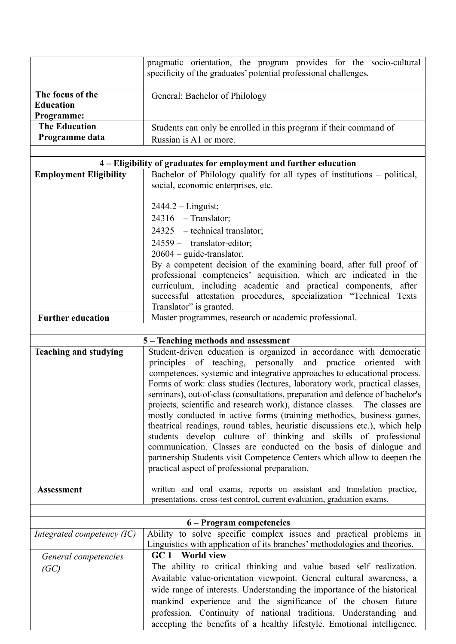|                               | pragmatic orientation, the program provides for the socio-cultural            |  |  |  |
|-------------------------------|-------------------------------------------------------------------------------|--|--|--|
|                               | specificity of the graduates' potential professional challenges.              |  |  |  |
|                               |                                                                               |  |  |  |
| The focus of the              | General: Bachelor of Philology                                                |  |  |  |
| <b>Education</b>              |                                                                               |  |  |  |
| Programme:                    |                                                                               |  |  |  |
| <b>The Education</b>          | Students can only be enrolled in this program if their command of             |  |  |  |
| Programme data                | Russian is A1 or more.                                                        |  |  |  |
|                               |                                                                               |  |  |  |
|                               |                                                                               |  |  |  |
|                               | 4 – Eligibility of graduates for employment and further education             |  |  |  |
| <b>Employment Eligibility</b> | Bachelor of Philology qualify for all types of institutions – political,      |  |  |  |
|                               | social, economic enterprises, etc.                                            |  |  |  |
|                               |                                                                               |  |  |  |
|                               | $2444.2 - Linguist;$                                                          |  |  |  |
|                               | $24316$ - Translator;                                                         |  |  |  |
|                               | $24325$ - technical translator;                                               |  |  |  |
|                               | 24559 - translator-editor;                                                    |  |  |  |
|                               | $20604$ – guide-translator.                                                   |  |  |  |
|                               | By a competent decision of the examining board, after full proof of           |  |  |  |
|                               | professional comptencies' acquisition, which are indicated in the             |  |  |  |
|                               | curriculum, including academic and practical components, after                |  |  |  |
|                               | successful attestation procedures, specialization "Technical Texts            |  |  |  |
|                               | Translator" is granted.                                                       |  |  |  |
| <b>Further education</b>      | Master programmes, research or academic professional.                         |  |  |  |
|                               |                                                                               |  |  |  |
|                               | 5 – Teaching methods and assessment                                           |  |  |  |
| <b>Teaching and studying</b>  | Student-driven education is organized in accordance with democratic           |  |  |  |
|                               | principles of teaching, personally and practice oriented<br>with              |  |  |  |
|                               | competences, systemic and integrative approaches to educational process.      |  |  |  |
|                               | Forms of work: class studies (lectures, laboratory work, practical classes,   |  |  |  |
|                               | seminars), out-of-class (consultations, preparation and defence of bachelor's |  |  |  |
|                               | projects, scientific and research work), distance classes. The classes are    |  |  |  |
|                               | mostly conducted in active forms (training methodics, business games,         |  |  |  |
|                               | theatrical readings, round tables, heuristic discussions etc.), which help    |  |  |  |
|                               | students develop culture of thinking and skills of professional               |  |  |  |
|                               | communication. Classes are conducted on the basis of dialogue and             |  |  |  |
|                               | partnership Students visit Competence Centers which allow to deepen the       |  |  |  |
|                               | practical aspect of professional preparation.                                 |  |  |  |
|                               |                                                                               |  |  |  |
| <b>Assessment</b>             | written and oral exams, reports on assistant and translation practice,        |  |  |  |
|                               | presentations, cross-test control, current evaluation, graduation exams.      |  |  |  |
|                               |                                                                               |  |  |  |
|                               | 6 – Program competencies                                                      |  |  |  |
| Integrated competency $(IC)$  | Ability to solve specific complex issues and practical problems in            |  |  |  |
|                               | Linguistics with application of its branches' methodologies and theories.     |  |  |  |
| General competencies          | GC1<br><b>World view</b>                                                      |  |  |  |
| (GC)                          | The ability to critical thinking and value based self realization.            |  |  |  |
|                               | Available value-orientation viewpoint. General cultural awareness, a          |  |  |  |
|                               | wide range of interests. Understanding the importance of the historical       |  |  |  |
|                               | mankind experience and the significance of the chosen future                  |  |  |  |
|                               | profession. Continuity of national traditions. Understanding and              |  |  |  |
|                               | accepting the benefits of a healthy lifestyle. Emotional intelligence.        |  |  |  |
|                               |                                                                               |  |  |  |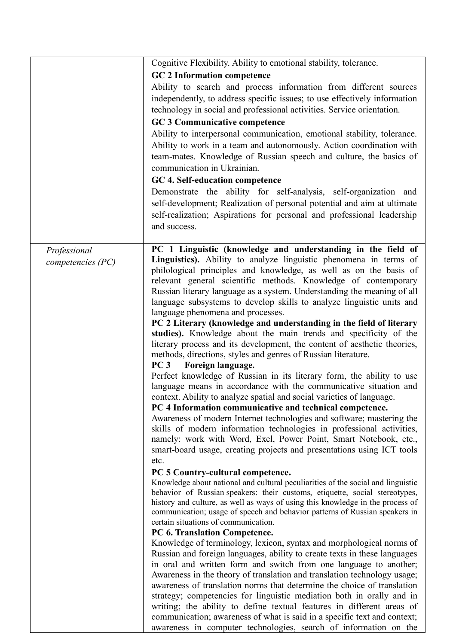|                   | Cognitive Flexibility. Ability to emotional stability, tolerance.                                                                                                                                                                                                                                                                                                                                                                                                                                                                                                                                                                                                                         |
|-------------------|-------------------------------------------------------------------------------------------------------------------------------------------------------------------------------------------------------------------------------------------------------------------------------------------------------------------------------------------------------------------------------------------------------------------------------------------------------------------------------------------------------------------------------------------------------------------------------------------------------------------------------------------------------------------------------------------|
|                   | <b>GC 2 Information competence</b>                                                                                                                                                                                                                                                                                                                                                                                                                                                                                                                                                                                                                                                        |
|                   | Ability to search and process information from different sources<br>independently, to address specific issues; to use effectively information<br>technology in social and professional activities. Service orientation.<br><b>GC 3 Communicative competence</b>                                                                                                                                                                                                                                                                                                                                                                                                                           |
|                   | Ability to interpersonal communication, emotional stability, tolerance.<br>Ability to work in a team and autonomously. Action coordination with<br>team-mates. Knowledge of Russian speech and culture, the basics of<br>communication in Ukrainian.<br>GC 4. Self-education competence<br>Demonstrate the ability for self-analysis, self-organization and                                                                                                                                                                                                                                                                                                                               |
|                   | self-development; Realization of personal potential and aim at ultimate<br>self-realization; Aspirations for personal and professional leadership<br>and success.                                                                                                                                                                                                                                                                                                                                                                                                                                                                                                                         |
| Professional      | PC 1 Linguistic (knowledge and understanding in the field of                                                                                                                                                                                                                                                                                                                                                                                                                                                                                                                                                                                                                              |
| competencies (PC) | Linguistics). Ability to analyze linguistic phenomena in terms of<br>philological principles and knowledge, as well as on the basis of<br>relevant general scientific methods. Knowledge of contemporary<br>Russian literary language as a system. Understanding the meaning of all<br>language subsystems to develop skills to analyze linguistic units and<br>language phenomena and processes.<br>PC 2 Literary (knowledge and understanding in the field of literary<br>studies). Knowledge about the main trends and specificity of the<br>literary process and its development, the content of aesthetic theories,<br>methods, directions, styles and genres of Russian literature. |
|                   | PC3<br>Foreign language.<br>Perfect knowledge of Russian in its literary form, the ability to use<br>language means in accordance with the communicative situation and<br>context. Ability to analyze spatial and social varieties of language.<br>PC 4 Information communicative and technical competence.<br>Awareness of modern Internet technologies and software; mastering the<br>skills of modern information technologies in professional activities,<br>namely: work with Word, Exel, Power Point, Smart Notebook, etc.,<br>smart-board usage, creating projects and presentations using ICT tools                                                                               |
|                   | etc.<br>PC 5 Country-cultural competence.<br>Knowledge about national and cultural peculiarities of the social and linguistic<br>behavior of Russian speakers: their customs, etiquette, social stereotypes,<br>history and culture, as well as ways of using this knowledge in the process of<br>communication; usage of speech and behavior patterns of Russian speakers in<br>certain situations of communication.<br>PC 6. Translation Competence.<br>Knowledge of terminology, lexicon, syntax and morphological norms of                                                                                                                                                            |
|                   | Russian and foreign languages, ability to create texts in these languages<br>in oral and written form and switch from one language to another;<br>Awareness in the theory of translation and translation technology usage;<br>awareness of translation norms that determine the choice of translation<br>strategy; competencies for linguistic mediation both in orally and in<br>writing; the ability to define textual features in different areas of<br>communication; awareness of what is said in a specific text and context;<br>awareness in computer technologies, search of information on the                                                                                   |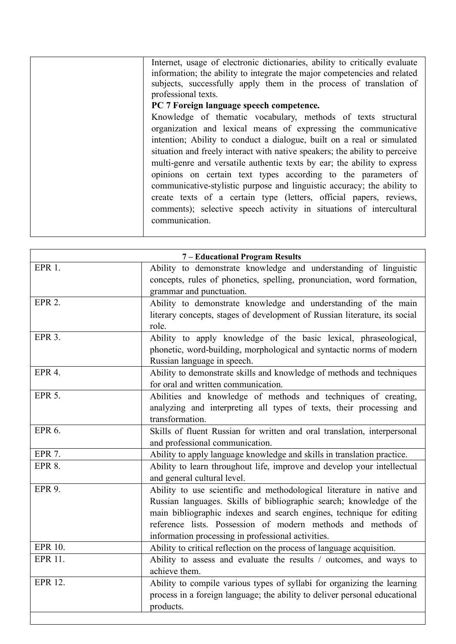| 7 - Educational Program Results |                                                                                                                                                                                                                                                                                                                                            |  |
|---------------------------------|--------------------------------------------------------------------------------------------------------------------------------------------------------------------------------------------------------------------------------------------------------------------------------------------------------------------------------------------|--|
| EPR 1.                          | Ability to demonstrate knowledge and understanding of linguistic<br>concepts, rules of phonetics, spelling, pronunciation, word formation,<br>grammar and punctuation.                                                                                                                                                                     |  |
| EPR <sub>2</sub> .              | Ability to demonstrate knowledge and understanding of the main<br>literary concepts, stages of development of Russian literature, its social<br>role.                                                                                                                                                                                      |  |
| EPR <sub>3</sub> .              | Ability to apply knowledge of the basic lexical, phraseological,<br>phonetic, word-building, morphological and syntactic norms of modern<br>Russian language in speech.                                                                                                                                                                    |  |
| EPR <sub>4</sub> .              | Ability to demonstrate skills and knowledge of methods and techniques<br>for oral and written communication.                                                                                                                                                                                                                               |  |
| <b>EPR 5.</b>                   | Abilities and knowledge of methods and techniques of creating,<br>analyzing and interpreting all types of texts, their processing and<br>transformation.                                                                                                                                                                                   |  |
| EPR 6.                          | Skills of fluent Russian for written and oral translation, interpersonal<br>and professional communication.                                                                                                                                                                                                                                |  |
| <b>EPR 7.</b>                   | Ability to apply language knowledge and skills in translation practice.                                                                                                                                                                                                                                                                    |  |
| <b>EPR 8.</b>                   | Ability to learn throughout life, improve and develop your intellectual<br>and general cultural level.                                                                                                                                                                                                                                     |  |
| <b>EPR 9.</b>                   | Ability to use scientific and methodological literature in native and<br>Russian languages. Skills of bibliographic search; knowledge of the<br>main bibliographic indexes and search engines, technique for editing<br>reference lists. Possession of modern methods and methods of<br>information processing in professional activities. |  |
| <b>EPR 10.</b>                  | Ability to critical reflection on the process of language acquisition.                                                                                                                                                                                                                                                                     |  |
| <b>EPR 11.</b>                  | Ability to assess and evaluate the results / outcomes, and ways to<br>achieve them.                                                                                                                                                                                                                                                        |  |
| EPR 12.                         | Ability to compile various types of syllabi for organizing the learning<br>process in a foreign language; the ability to deliver personal educational<br>products.                                                                                                                                                                         |  |
|                                 |                                                                                                                                                                                                                                                                                                                                            |  |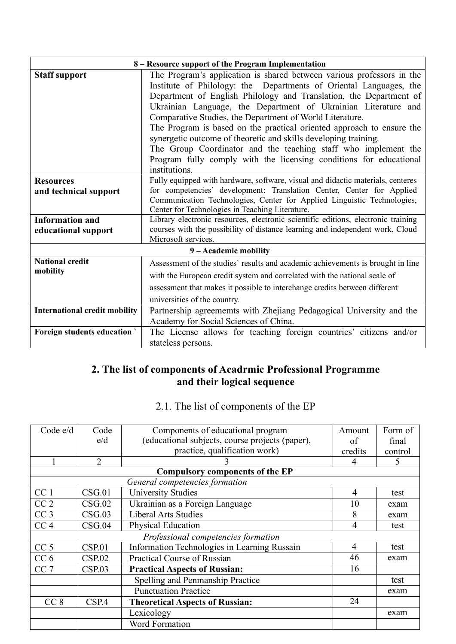| 8 – Resource support of the Program Implementation |                                                                                                                                                                                                                                                                                                                                                                                                                                                                                                                                                                                                                                                      |  |  |  |
|----------------------------------------------------|------------------------------------------------------------------------------------------------------------------------------------------------------------------------------------------------------------------------------------------------------------------------------------------------------------------------------------------------------------------------------------------------------------------------------------------------------------------------------------------------------------------------------------------------------------------------------------------------------------------------------------------------------|--|--|--|
| <b>Staff support</b>                               | The Program's application is shared between various professors in the<br>Institute of Philology: the Departments of Oriental Languages, the<br>Department of English Philology and Translation, the Department of<br>Ukrainian Language, the Department of Ukrainian Literature and<br>Comparative Studies, the Department of World Literature.<br>The Program is based on the practical oriented approach to ensure the<br>synergetic outcome of theoretic and skills developing training.<br>The Group Coordinator and the teaching staff who implement the<br>Program fully comply with the licensing conditions for educational<br>institutions. |  |  |  |
| <b>Resources</b>                                   | Fully equipped with hardware, software, visual and didactic materials, centeres                                                                                                                                                                                                                                                                                                                                                                                                                                                                                                                                                                      |  |  |  |
| and technical support                              | for competencies' development: Translation Center, Center for Applied                                                                                                                                                                                                                                                                                                                                                                                                                                                                                                                                                                                |  |  |  |
|                                                    | Communication Technologies, Center for Applied Linguistic Technologies,<br>Center for Technologies in Teaching Literature.                                                                                                                                                                                                                                                                                                                                                                                                                                                                                                                           |  |  |  |
| <b>Information and</b>                             | Library electronic resources, electronic scientific editions, electronic training                                                                                                                                                                                                                                                                                                                                                                                                                                                                                                                                                                    |  |  |  |
| educational support                                | courses with the possibility of distance learning and independent work, Cloud                                                                                                                                                                                                                                                                                                                                                                                                                                                                                                                                                                        |  |  |  |
|                                                    | Microsoft services.                                                                                                                                                                                                                                                                                                                                                                                                                                                                                                                                                                                                                                  |  |  |  |
|                                                    | 9 - Academic mobility                                                                                                                                                                                                                                                                                                                                                                                                                                                                                                                                                                                                                                |  |  |  |
| <b>National credit</b>                             | Assessment of the studies' results and academic achievements is brought in line                                                                                                                                                                                                                                                                                                                                                                                                                                                                                                                                                                      |  |  |  |
| mobility                                           | with the European credit system and correlated with the national scale of                                                                                                                                                                                                                                                                                                                                                                                                                                                                                                                                                                            |  |  |  |
|                                                    | assessment that makes it possible to interchange credits between different                                                                                                                                                                                                                                                                                                                                                                                                                                                                                                                                                                           |  |  |  |
|                                                    | universities of the country.                                                                                                                                                                                                                                                                                                                                                                                                                                                                                                                                                                                                                         |  |  |  |
| <b>International credit mobility</b>               | Partnership agreememts with Zhejiang Pedagogical University and the                                                                                                                                                                                                                                                                                                                                                                                                                                                                                                                                                                                  |  |  |  |
|                                                    | Academy for Social Sciences of China.                                                                                                                                                                                                                                                                                                                                                                                                                                                                                                                                                                                                                |  |  |  |
| <b>Foreign students education</b>                  | The License allows for teaching foreign countries' citizens and/or                                                                                                                                                                                                                                                                                                                                                                                                                                                                                                                                                                                   |  |  |  |
|                                                    | stateless persons.                                                                                                                                                                                                                                                                                                                                                                                                                                                                                                                                                                                                                                   |  |  |  |

## **2. The list of components of Acadrmic Professional Programme and their logical sequence**

# 2.1. The list of components of the EP

| Code $e/d$      | Code                                | Components of educational program               | Amount         | Form of |
|-----------------|-------------------------------------|-------------------------------------------------|----------------|---------|
|                 | e/d                                 | (educational subjects, course projects (paper), | of             | final   |
|                 |                                     | practice, qualification work)                   | credits        | control |
|                 | 2                                   |                                                 | 4              | 5       |
|                 |                                     | <b>Compulsory components of the EP</b>          |                |         |
|                 |                                     | General competencies formation                  |                |         |
| CC <sub>1</sub> | CSG.01                              | <b>University Studies</b>                       | 4              | test    |
| CC <sub>2</sub> | CSG.02                              | Ukrainian as a Foreign Language                 | 10             | exam    |
| CC <sub>3</sub> | CSG.03                              | <b>Liberal Arts Studies</b>                     | 8              | exam    |
| CC <sub>4</sub> | CSG.04                              | <b>Physical Education</b>                       | 4              | test    |
|                 | Professional competencies formation |                                                 |                |         |
| CC <sub>5</sub> | CSP.01                              | Information Technologies in Learning Russain    | $\overline{4}$ | test    |
| CC <sub>6</sub> | CSP.02                              | Practical Course of Russian                     | 46             | exam    |
| CC <sub>7</sub> | CSP.03                              | <b>Practical Aspects of Russian:</b>            | 16             |         |
|                 |                                     | Spelling and Penmanship Practice                |                | test    |
|                 |                                     | <b>Punctuation Practice</b>                     |                | exam    |
| CC <sub>8</sub> | CSP.4                               | <b>Theoretical Aspects of Russian:</b>          | 24             |         |
|                 |                                     | Lexicology                                      |                | exam    |
|                 |                                     | Word Formation                                  |                |         |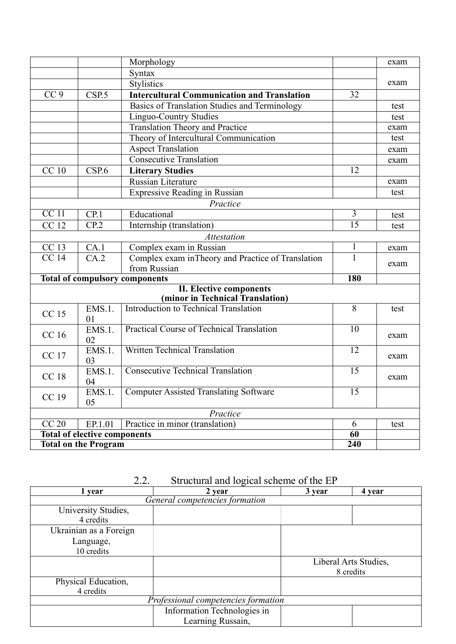|                                     |                  | Morphology                                         |                 | exam |
|-------------------------------------|------------------|----------------------------------------------------|-----------------|------|
| Syntax                              |                  |                                                    |                 |      |
|                                     |                  | <b>Stylistics</b>                                  |                 | exam |
| CC <sub>9</sub>                     | CSP.5            | <b>Intercultural Communication and Translation</b> | 32              |      |
|                                     |                  | Basics of Translation Studies and Terminology      |                 | test |
|                                     |                  | <b>Linguo-Country Studies</b>                      |                 | test |
|                                     |                  | <b>Translation Theory and Practice</b>             |                 | exam |
|                                     |                  | Theory of Intercultural Communication              |                 | test |
|                                     |                  | <b>Aspect Translation</b>                          |                 | exam |
|                                     |                  | <b>Consecutive Translation</b>                     |                 | exam |
| <b>CC</b> 10                        | CSP.6            | <b>Literary Studies</b>                            | 12              |      |
|                                     |                  | Russian Literature                                 |                 | exam |
|                                     |                  | Expressive Reading in Russian                      |                 | test |
|                                     |                  | Practice                                           |                 |      |
| CC 11                               | CP.1             | Educational                                        | 3               | test |
| <b>CC</b> 12                        | CP <sub>.2</sub> | Internship (translation)                           | $\overline{15}$ | test |
|                                     |                  | <b>Attestation</b>                                 |                 |      |
| CC 13                               | CA.1             | Complex exam in Russian                            | $\mathbf{1}$    | exam |
| CC <sub>14</sub>                    | CA.2             | Complex exam in Theory and Practice of Translation | 1               |      |
|                                     |                  | from Russian                                       |                 | exam |
|                                     |                  | <b>Total of compulsory components</b>              | <b>180</b>      |      |
|                                     |                  | <b>II. Elective components</b>                     |                 |      |
|                                     |                  | (minor in Technical Translation)                   |                 |      |
| CC 15                               | EMS.1.<br>01     | Introduction to Technical Translation              | $\overline{8}$  | test |
|                                     | EMS.1.           | <b>Practical Course of Technical Translation</b>   | $\overline{10}$ |      |
| <b>CC</b> 16<br>02                  |                  |                                                    | exam            |      |
| CC 17                               | EMS.1.           | <b>Written Technical Translation</b>               | $\overline{12}$ |      |
|                                     | 03               |                                                    |                 | exam |
| <b>CC18</b>                         | <b>EMS.1.</b>    | <b>Consecutive Technical Translation</b>           | 15              | exam |
|                                     | 04               |                                                    |                 |      |
| CC 19                               | EMS.1.<br>05     | <b>Computer Assisted Translating Software</b>      | $\overline{15}$ |      |
|                                     |                  | Practice                                           |                 |      |
| CC20                                | EP.1.01          | Practice in minor (translation)                    | 6               | test |
| <b>Total of elective components</b> |                  | 60                                                 |                 |      |
| <b>Total on the Program</b>         |                  | $\overline{240}$                                   |                 |      |

2.2. Structural and logical scheme of the EP

| 1 vear                         | 2 year                              | 3 year | 4 year                |  |  |
|--------------------------------|-------------------------------------|--------|-----------------------|--|--|
| General competencies formation |                                     |        |                       |  |  |
| University Studies,            |                                     |        |                       |  |  |
| 4 credits                      |                                     |        |                       |  |  |
| Ukrainian as a Foreign         |                                     |        |                       |  |  |
| Language,                      |                                     |        |                       |  |  |
| 10 credits                     |                                     |        |                       |  |  |
|                                |                                     |        | Liberal Arts Studies, |  |  |
|                                |                                     |        | 8 credits             |  |  |
| Physical Education,            |                                     |        |                       |  |  |
| 4 credits                      |                                     |        |                       |  |  |
|                                | Professional competencies formation |        |                       |  |  |
|                                | Information Technologies in         |        |                       |  |  |
|                                | Learning Russain,                   |        |                       |  |  |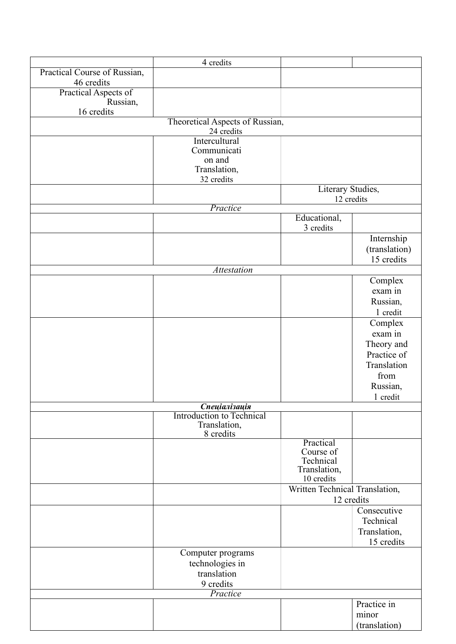|                              | 4 credits                                     |                                |               |
|------------------------------|-----------------------------------------------|--------------------------------|---------------|
| Practical Course of Russian, |                                               |                                |               |
| 46 credits                   |                                               |                                |               |
| Practical Aspects of         |                                               |                                |               |
| Russian,                     |                                               |                                |               |
| 16 credits                   |                                               |                                |               |
|                              | Theoretical Aspects of Russian,<br>24 credits |                                |               |
|                              | Intercultural                                 |                                |               |
|                              | Communicati                                   |                                |               |
|                              | on and                                        |                                |               |
|                              | Translation,                                  |                                |               |
|                              | 32 credits                                    |                                |               |
|                              |                                               | Literary Studies,              |               |
|                              | Practice                                      | 12 credits                     |               |
|                              |                                               | Educational,                   |               |
|                              |                                               | 3 credits                      |               |
|                              |                                               |                                | Internship    |
|                              |                                               |                                | (translation) |
|                              |                                               |                                | 15 credits    |
|                              | <b>Attestation</b>                            |                                |               |
|                              |                                               |                                | Complex       |
|                              |                                               |                                | exam in       |
|                              |                                               |                                | Russian,      |
|                              |                                               |                                | 1 credit      |
|                              |                                               |                                | Complex       |
|                              |                                               |                                | exam in       |
|                              |                                               |                                | Theory and    |
|                              |                                               |                                | Practice of   |
|                              |                                               |                                | Translation   |
|                              |                                               |                                | from          |
|                              |                                               |                                | Russian,      |
|                              |                                               |                                | 1 credit      |
|                              | Спеціалізація                                 |                                |               |
|                              | <b>Introduction to Technical</b>              |                                |               |
|                              | Translation,                                  |                                |               |
|                              | 8 credits                                     |                                |               |
|                              |                                               | Practical                      |               |
|                              |                                               | Course of<br>Technical         |               |
|                              |                                               | Translation,                   |               |
|                              |                                               | 10 credits                     |               |
|                              |                                               | Written Technical Translation, |               |
|                              |                                               | 12 credits                     |               |
|                              |                                               |                                | Consecutive   |
|                              |                                               |                                | Technical     |
|                              |                                               |                                | Translation,  |
|                              |                                               |                                | 15 credits    |
|                              | Computer programs                             |                                |               |
|                              | technologies in                               |                                |               |
|                              | translation                                   |                                |               |
|                              | 9 credits                                     |                                |               |
|                              | Practice                                      |                                |               |
|                              |                                               |                                | Practice in   |
|                              |                                               |                                | minor         |
|                              |                                               |                                | (translation) |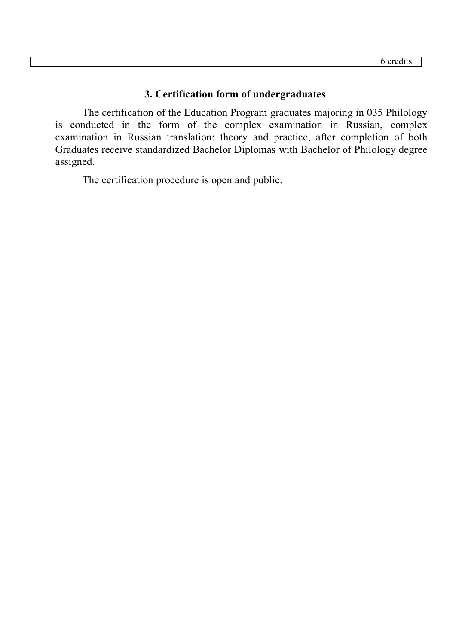## **3. Certification form of undergraduates**

The certification of the Education Program graduates majoring in 035 Philology is conducted in the form of the complex examination in Russian, complex examination in Russian translation: theory and practice, after completion of both Graduates receive standardized Bachelor Diplomas with Bachelor of Philology degree assigned.

The certification procedure is open and public.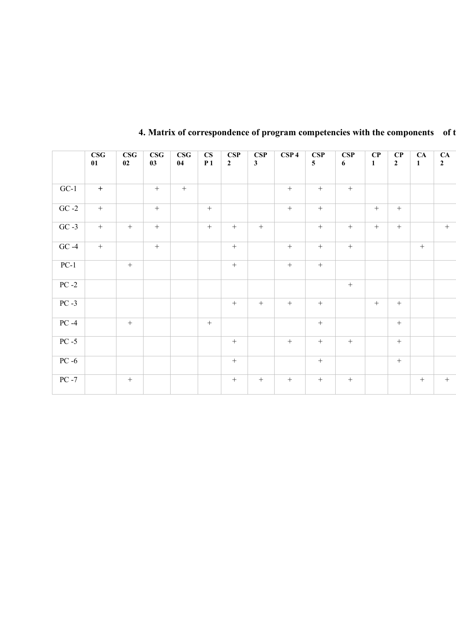|          | $\overline{\textbf{CSG}}$<br>01 | $\overline{\text{CSG}}$<br>02 | $\overline{\textbf{CSG}}$<br>03 | $\overline{\text{CSG}}$<br>04 | $\mathbf{C}\mathbf{S}$<br>P <sub>1</sub> | CSP<br>$2^{\circ}$ | CSP<br>$\mathbf{3}$ | CSP <sub>4</sub> | CSP<br>$5\overline{)}$ | CSP<br>6 <sup>1</sup> | $\bf CP$<br>$\mathbf{1}$ | $\mathbf{C}\mathbf{P}$<br>$\overline{2}$ | CA<br>$\mathbf{1}$ | CA<br>$\overline{2}$ |
|----------|---------------------------------|-------------------------------|---------------------------------|-------------------------------|------------------------------------------|--------------------|---------------------|------------------|------------------------|-----------------------|--------------------------|------------------------------------------|--------------------|----------------------|
| $GC-1$   | $\pm$                           |                               | $\, +$                          | $+$                           |                                          |                    |                     | $+$              | $+$                    | $+$                   |                          |                                          |                    |                      |
| $GC -2$  | $+$                             |                               | $\, +$                          |                               | $+$                                      |                    |                     | $+$              | $+$                    |                       | $+$                      | $+$                                      |                    |                      |
| $GC -3$  | $\pm$                           | $\, +$                        | $\, + \,$                       |                               | $+$                                      | $+$                | $+$                 |                  | $+$                    | $+$                   | $+$                      | $+$                                      |                    | $+$                  |
| $GC -4$  | $\pm$                           |                               | $\, +$                          |                               |                                          | $\, +$             |                     | $\, +$           | $\qquad \qquad +$      | $\, +$                |                          |                                          | $+$                |                      |
| $PC-1$   |                                 | $\boldsymbol{+}$              |                                 |                               |                                          | $\, +$             |                     | $\, +$           | $\pm$                  |                       |                          |                                          |                    |                      |
| $PC-2$   |                                 |                               |                                 |                               |                                          |                    |                     |                  |                        | $\, +$                |                          |                                          |                    |                      |
| $PC -3$  |                                 |                               |                                 |                               |                                          | $\, +$             | $+$                 | $\, +$           | $\, +$                 |                       | $\, +$                   | $+$                                      |                    |                      |
| $PC -4$  |                                 | $\, +$                        |                                 |                               | $+$                                      |                    |                     |                  | $\, +$                 |                       |                          | $+$                                      |                    |                      |
| $PC - 5$ |                                 |                               |                                 |                               |                                          | $\, +$             |                     | $\, +$           | $\boldsymbol{+}$       | $\, +$                |                          | $+$                                      |                    |                      |
| $PC -6$  |                                 |                               |                                 |                               |                                          | $+$                |                     |                  | $+$                    |                       |                          | $+$                                      |                    |                      |
| $PC - 7$ |                                 | $\, +$                        |                                 |                               |                                          | $\, +$             | $+$                 | $+$              | $\qquad \qquad +$      | $\boldsymbol{+}$      |                          |                                          | $+$                | $+$                  |
|          |                                 |                               |                                 |                               |                                          |                    |                     |                  |                        |                       |                          |                                          |                    |                      |

# **4. Matrix of correspondence of program competencies with the components** of **t**